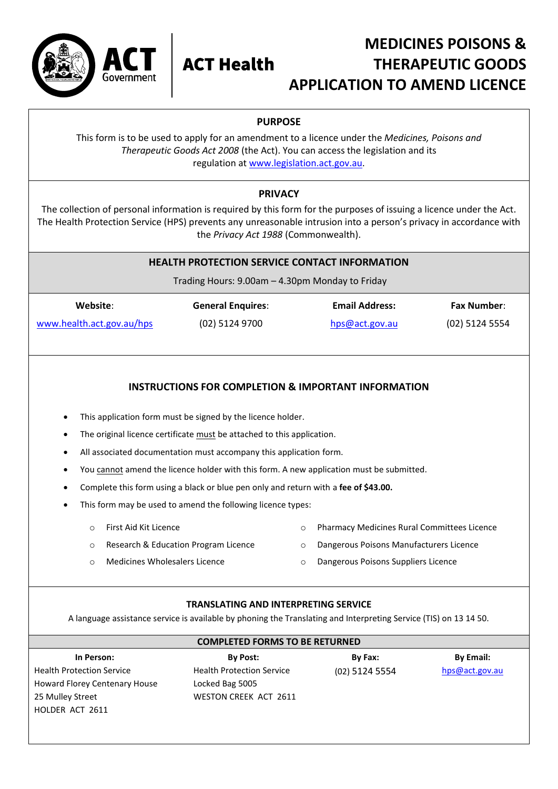

# **MEDICINES POISONS & ACT Health THERAPEUTIC GOODS APPLICATION TO AMEND LICENCE**

## **PURPOSE**

This form is to be used to apply for an amendment to a licence under the *Medicines, Poisons and Therapeutic Goods Act 2008* (the Act). You can access the legislation and its regulation a[t www.legislation.act.gov.au.](http://www.legislation.act.gov.au/)

### **PRIVACY**

The collection of personal information is required by this form for the purposes of issuing a licence under the Act. The Health Protection Service (HPS) prevents any unreasonable intrusion into a person's privacy in accordance with the *Privacy Act 1988* (Commonwealth).

### **HEALTH PROTECTION SERVICE CONTACT INFORMATION**

Trading Hours: 9.00am – 4.30pm Monday to Friday

| Website:                  | <b>General Enquires:</b> | <b>Email Address:</b> | <b>Fax Number:</b> |
|---------------------------|--------------------------|-----------------------|--------------------|
| www.health.act.gov.au/hps | (02) 5124 9700           | hps@act.gov.au        | (02) 5124 5554     |

### **INSTRUCTIONS FOR COMPLETION & IMPORTANT INFORMATION**

- This application form must be signed by the licence holder.
- The original licence certificate must be attached to this application.
- All associated documentation must accompany this application form.
- You cannot amend the licence holder with this form. A new application must be submitted.
- Complete this form using a black or blue pen only and return with a **fee of \$43.00.**
- This form may be used to amend the following licence types:
	- o First Aid Kit Licence
		- o Research & Education Program Licence
- o Pharmacy Medicines Rural Committees Licence
- o Dangerous Poisons Manufacturers Licence
- o Medicines Wholesalers Licence
- o Dangerous Poisons Suppliers Licence

### **TRANSLATING AND INTERPRETING SERVICE**

A language assistance service is available by phoning the Translating and Interpreting Service (TIS) on 13 14 50.

**COMPLETED FORMS TO BE RETURNED**

| In Person:                       | <b>By Post:</b>                  | By Fax:        | <b>By Email:</b> |
|----------------------------------|----------------------------------|----------------|------------------|
| <b>Health Protection Service</b> | <b>Health Protection Service</b> | (02) 5124 5554 | hps@act.gov      |
| Howard Florey Centenary House    | Locked Bag 5005                  |                |                  |
| 25 Mulley Street                 | <b>WESTON CREEK ACT 2611</b>     |                |                  |
| HOLDER ACT 2611                  |                                  |                |                  |

(02) 5124 5554 [hps@act.gov.au](mailto:hps@act.gov.au)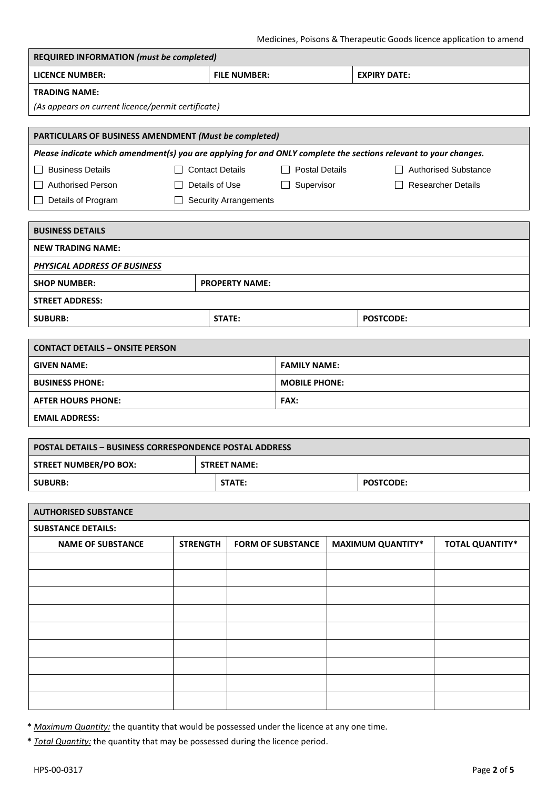| <b>REQUIRED INFORMATION (must be completed)</b>                                                                  |                        |               |                              |                          |  |                                      |                        |  |
|------------------------------------------------------------------------------------------------------------------|------------------------|---------------|------------------------------|--------------------------|--|--------------------------------------|------------------------|--|
| <b>LICENCE NUMBER:</b>                                                                                           |                        |               | <b>FILE NUMBER:</b>          |                          |  | <b>EXPIRY DATE:</b>                  |                        |  |
| <b>TRADING NAME:</b>                                                                                             |                        |               |                              |                          |  |                                      |                        |  |
| (As appears on current licence/permit certificate)                                                               |                        |               |                              |                          |  |                                      |                        |  |
|                                                                                                                  |                        |               |                              |                          |  |                                      |                        |  |
| PARTICULARS OF BUSINESS AMENDMENT (Must be completed)                                                            |                        |               |                              |                          |  |                                      |                        |  |
| Please indicate which amendment(s) you are applying for and ONLY complete the sections relevant to your changes. |                        |               |                              |                          |  |                                      |                        |  |
| <b>Business Details</b><br>$\perp$                                                                               | $\Box$ Contact Details |               |                              | $\Box$ Postal Details    |  | □ Authorised Substance               |                        |  |
| Authorised Person                                                                                                | $\mathbf{L}$           |               | Details of Use               | Supervisor<br>$\Box$     |  | <b>Researcher Details</b><br>$\perp$ |                        |  |
| Details of Program<br>$\Box$                                                                                     | $\perp$                |               | <b>Security Arrangements</b> |                          |  |                                      |                        |  |
| <b>BUSINESS DETAILS</b>                                                                                          |                        |               |                              |                          |  |                                      |                        |  |
| <b>NEW TRADING NAME:</b>                                                                                         |                        |               |                              |                          |  |                                      |                        |  |
| PHYSICAL ADDRESS OF BUSINESS                                                                                     |                        |               |                              |                          |  |                                      |                        |  |
| <b>SHOP NUMBER:</b>                                                                                              |                        |               | <b>PROPERTY NAME:</b>        |                          |  |                                      |                        |  |
| <b>STREET ADDRESS:</b>                                                                                           |                        |               |                              |                          |  |                                      |                        |  |
| <b>SUBURB:</b>                                                                                                   |                        | <b>STATE:</b> |                              |                          |  | <b>POSTCODE:</b>                     |                        |  |
| <b>CONTACT DETAILS - ONSITE PERSON</b>                                                                           |                        |               |                              |                          |  |                                      |                        |  |
| <b>GIVEN NAME:</b>                                                                                               |                        |               |                              | <b>FAMILY NAME:</b>      |  |                                      |                        |  |
| <b>BUSINESS PHONE:</b>                                                                                           |                        |               |                              | <b>MOBILE PHONE:</b>     |  |                                      |                        |  |
| <b>AFTER HOURS PHONE:</b>                                                                                        |                        |               |                              | FAX:                     |  |                                      |                        |  |
| <b>EMAIL ADDRESS:</b>                                                                                            |                        |               |                              |                          |  |                                      |                        |  |
|                                                                                                                  |                        |               |                              |                          |  |                                      |                        |  |
| <b>POSTAL DETAILS - BUSINESS CORRESPONDENCE POSTAL ADDRESS</b>                                                   |                        |               |                              |                          |  |                                      |                        |  |
| <b>STREET NUMBER/PO BOX:</b>                                                                                     |                        |               | <b>STREET NAME:</b>          |                          |  |                                      |                        |  |
| <b>SUBURB:</b>                                                                                                   | STATE:                 |               |                              | <b>POSTCODE:</b>         |  |                                      |                        |  |
| <b>AUTHORISED SUBSTANCE</b>                                                                                      |                        |               |                              |                          |  |                                      |                        |  |
| <b>SUBSTANCE DETAILS:</b>                                                                                        |                        |               |                              |                          |  |                                      |                        |  |
| <b>NAME OF SUBSTANCE</b>                                                                                         | <b>STRENGTH</b>        |               |                              | <b>FORM OF SUBSTANCE</b> |  | <b>MAXIMUM QUANTITY*</b>             | <b>TOTAL QUANTITY*</b> |  |
|                                                                                                                  |                        |               |                              |                          |  |                                      |                        |  |
|                                                                                                                  |                        |               |                              |                          |  |                                      |                        |  |
|                                                                                                                  |                        |               |                              |                          |  |                                      |                        |  |
|                                                                                                                  |                        |               |                              |                          |  |                                      |                        |  |
|                                                                                                                  |                        |               |                              |                          |  |                                      |                        |  |
|                                                                                                                  |                        |               |                              |                          |  |                                      |                        |  |
|                                                                                                                  |                        |               |                              |                          |  |                                      |                        |  |
|                                                                                                                  |                        |               |                              |                          |  |                                      |                        |  |
|                                                                                                                  |                        |               |                              |                          |  |                                      |                        |  |
|                                                                                                                  |                        |               |                              |                          |  |                                      |                        |  |

**\*** *Maximum Quantity:* the quantity that would be possessed under the licence at any one time.

**\*** *Total Quantity:* the quantity that may be possessed during the licence period.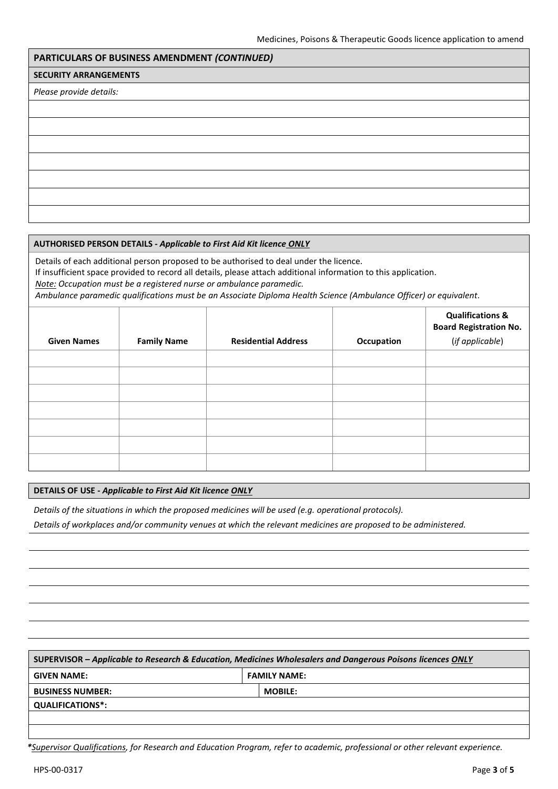### **PARTICULARS OF BUSINESS AMENDMENT** *(CONTINUED)*

#### **SECURITY ARRANGEMENTS**

*Please provide details:*

#### **AUTHORISED PERSON DETAILS -** *Applicable to First Aid Kit licence ONLY*

Details of each additional person proposed to be authorised to deal under the licence. If insufficient space provided to record all details, please attach additional information to this application. *Note: Occupation must be a registered nurse or ambulance paramedic.*

*Ambulance paramedic qualifications must be an Associate Diploma Health Science (Ambulance Officer) or equivalent.*

| <b>Given Names</b> | <b>Family Name</b> | <b>Residential Address</b> | Occupation | <b>Qualifications &amp;</b><br><b>Board Registration No.</b><br>(if applicable) |
|--------------------|--------------------|----------------------------|------------|---------------------------------------------------------------------------------|
|                    |                    |                            |            |                                                                                 |
|                    |                    |                            |            |                                                                                 |
|                    |                    |                            |            |                                                                                 |
|                    |                    |                            |            |                                                                                 |
|                    |                    |                            |            |                                                                                 |
|                    |                    |                            |            |                                                                                 |
|                    |                    |                            |            |                                                                                 |

#### **DETAILS OF USE -** *Applicable to First Aid Kit licence ONLY*

*Details of the situations in which the proposed medicines will be used (e.g. operational protocols).*

*Details of workplaces and/or community venues at which the relevant medicines are proposed to be administered.*

| SUPERVISOR – Applicable to Research & Education, Medicines Wholesalers and Dangerous Poisons licences ONLY |  |                     |  |
|------------------------------------------------------------------------------------------------------------|--|---------------------|--|
| <b>GIVEN NAME:</b>                                                                                         |  | <b>FAMILY NAME:</b> |  |
| <b>MOBILE:</b><br><b>BUSINESS NUMBER:</b>                                                                  |  |                     |  |
| <b>QUALIFICATIONS*:</b>                                                                                    |  |                     |  |
|                                                                                                            |  |                     |  |
|                                                                                                            |  |                     |  |

*\*Supervisor Qualifications, for Research and Education Program, refer to academic, professional or other relevant experience.*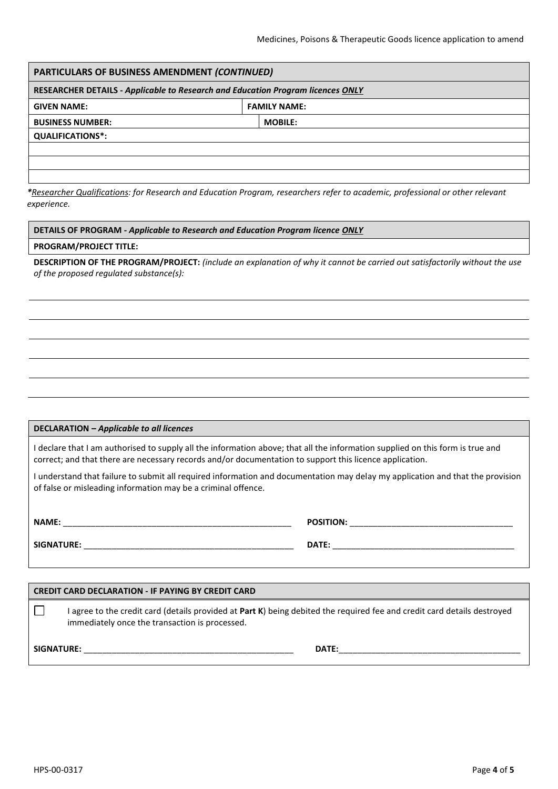| PARTICULARS OF BUSINESS AMENDMENT (CONTINUED)                                          |                     |  |  |  |
|----------------------------------------------------------------------------------------|---------------------|--|--|--|
| <b>RESEARCHER DETAILS - Applicable to Research and Education Program licences ONLY</b> |                     |  |  |  |
| <b>GIVEN NAME:</b>                                                                     | <b>FAMILY NAME:</b> |  |  |  |
| <b>BUSINESS NUMBER:</b><br><b>MOBILE:</b>                                              |                     |  |  |  |
| <b>QUALIFICATIONS*:</b>                                                                |                     |  |  |  |
|                                                                                        |                     |  |  |  |
|                                                                                        |                     |  |  |  |
|                                                                                        |                     |  |  |  |

*\*Researcher Qualifications: for Research and Education Program, researchers refer to academic, professional or other relevant experience.*

#### **DETAILS OF PROGRAM -** *Applicable to Research and Education Program licence ONLY*

#### **PROGRAM/PROJECT TITLE:**

**DESCRIPTION OF THE PROGRAM/PROJECT:** *(include an explanation of why it cannot be carried out satisfactorily without the use of the proposed regulated substance(s):* 

#### **DECLARATION –** *Applicable to all licences*

I declare that I am authorised to supply all the information above; that all the information supplied on this form is true and correct; and that there are necessary records and/or documentation to support this licence application.

I understand that failure to submit all required information and documentation may delay my application and that the provision of false or misleading information may be a criminal offence.

**NAME:** \_\_\_\_\_\_\_\_\_\_\_\_\_\_\_\_\_\_\_\_\_\_\_\_\_\_\_\_\_\_\_\_\_\_\_\_\_\_\_\_\_\_\_\_\_\_\_\_\_ **POSITION:** \_\_\_\_\_\_\_\_\_\_\_\_\_\_\_\_\_\_\_\_\_\_\_\_\_\_\_\_\_\_\_\_\_\_\_ **SIGNATURE:** \_\_\_\_\_\_\_\_\_\_\_\_\_\_\_\_\_\_\_\_\_\_\_\_\_\_\_\_\_\_\_\_\_\_\_\_\_\_\_\_\_\_\_\_\_ **DATE:** \_\_\_\_\_\_\_\_\_\_\_\_\_\_\_\_\_\_\_\_\_\_\_\_\_\_\_\_\_\_\_\_\_\_\_\_\_\_\_

### **CREDIT CARD DECLARATION - IF PAYING BY CREDIT CARD**  $\Box$ I agree to the credit card (details provided at **Part K**) being debited the required fee and credit card details destroyed immediately once the transaction is processed.

**SIGNATURE:** \_\_\_\_\_\_\_\_\_\_\_\_\_\_\_\_\_\_\_\_\_\_\_\_\_\_\_\_\_\_\_\_\_\_\_\_\_\_\_\_\_\_\_\_\_ **DATE:**\_\_\_\_\_\_\_\_\_\_\_\_\_\_\_\_\_\_\_\_\_\_\_\_\_\_\_\_\_\_\_\_\_\_\_\_\_\_\_